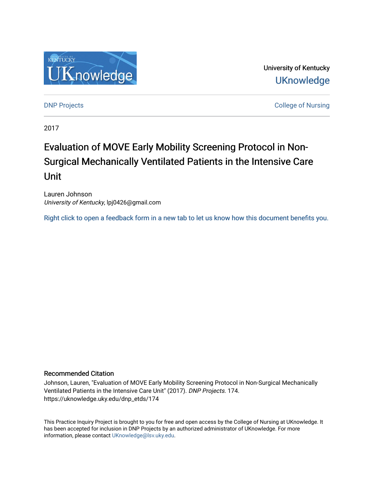

University of Kentucky **UKnowledge** 

**DNP Projects** College of Nursing

2017

# Evaluation of MOVE Early Mobility Screening Protocol in Non-Surgical Mechanically Ventilated Patients in the Intensive Care Unit

Lauren Johnson University of Kentucky, lpj0426@gmail.com

[Right click to open a feedback form in a new tab to let us know how this document benefits you.](https://uky.az1.qualtrics.com/jfe/form/SV_9mq8fx2GnONRfz7)

#### Recommended Citation

Johnson, Lauren, "Evaluation of MOVE Early Mobility Screening Protocol in Non-Surgical Mechanically Ventilated Patients in the Intensive Care Unit" (2017). DNP Projects. 174. https://uknowledge.uky.edu/dnp\_etds/174

This Practice Inquiry Project is brought to you for free and open access by the College of Nursing at UKnowledge. It has been accepted for inclusion in DNP Projects by an authorized administrator of UKnowledge. For more information, please contact [UKnowledge@lsv.uky.edu](mailto:UKnowledge@lsv.uky.edu).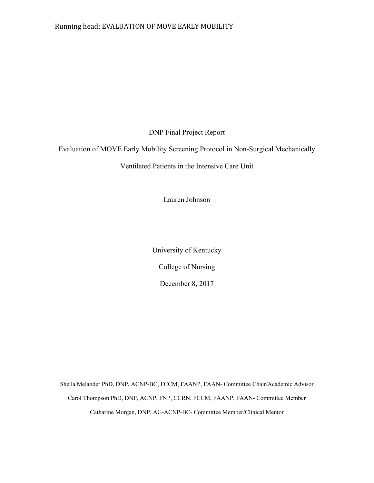### Running head: EVALUATION OF MOVE EARLY MOBILITY

DNP Final Project Report

Evaluation of MOVE Early Mobility Screening Protocol in Non-Surgical Mechanically

Ventilated Patients in the Intensive Care Unit

Lauren Johnson

University of Kentucky College of Nursing December 8, 2017

Sheila Melander PhD, DNP, ACNP-BC, FCCM, FAANP, FAAN- Committee Chair/Academic Advisor Carol Thompson PhD, DNP, ACNP, FNP, CCRN, FCCM, FAANP, FAAN- Committee Member Catharine Morgan, DNP, AG-ACNP-BC- Committee Member/Clinical Mentor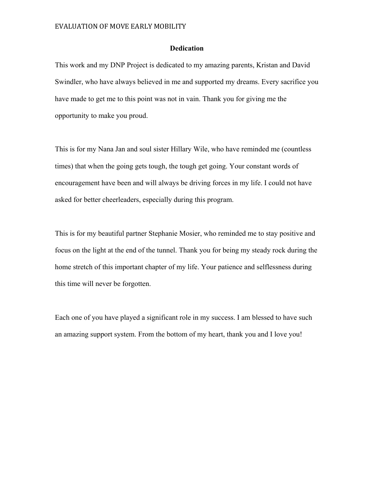#### **Dedication**

This work and my DNP Project is dedicated to my amazing parents, Kristan and David Swindler, who have always believed in me and supported my dreams. Every sacrifice you have made to get me to this point was not in vain. Thank you for giving me the opportunity to make you proud.

This is for my Nana Jan and soul sister Hillary Wile, who have reminded me (countless times) that when the going gets tough, the tough get going. Your constant words of encouragement have been and will always be driving forces in my life. I could not have asked for better cheerleaders, especially during this program.

This is for my beautiful partner Stephanie Mosier, who reminded me to stay positive and focus on the light at the end of the tunnel. Thank you for being my steady rock during the home stretch of this important chapter of my life. Your patience and selflessness during this time will never be forgotten.

Each one of you have played a significant role in my success. I am blessed to have such an amazing support system. From the bottom of my heart, thank you and I love you!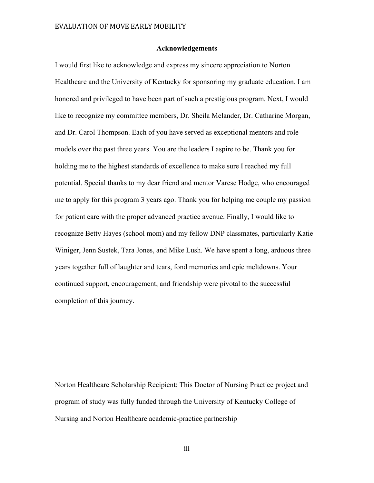#### **Acknowledgements**

I would first like to acknowledge and express my sincere appreciation to Norton Healthcare and the University of Kentucky for sponsoring my graduate education. I am honored and privileged to have been part of such a prestigious program. Next, I would like to recognize my committee members, Dr. Sheila Melander, Dr. Catharine Morgan, and Dr. Carol Thompson. Each of you have served as exceptional mentors and role models over the past three years. You are the leaders I aspire to be. Thank you for holding me to the highest standards of excellence to make sure I reached my full potential. Special thanks to my dear friend and mentor Varese Hodge, who encouraged me to apply for this program 3 years ago. Thank you for helping me couple my passion for patient care with the proper advanced practice avenue. Finally, I would like to recognize Betty Hayes (school mom) and my fellow DNP classmates, particularly Katie Winiger, Jenn Sustek, Tara Jones, and Mike Lush. We have spent a long, arduous three years together full of laughter and tears, fond memories and epic meltdowns. Your continued support, encouragement, and friendship were pivotal to the successful completion of this journey.

Norton Healthcare Scholarship Recipient: This Doctor of Nursing Practice project and program of study was fully funded through the University of Kentucky College of Nursing and Norton Healthcare academic-practice partnership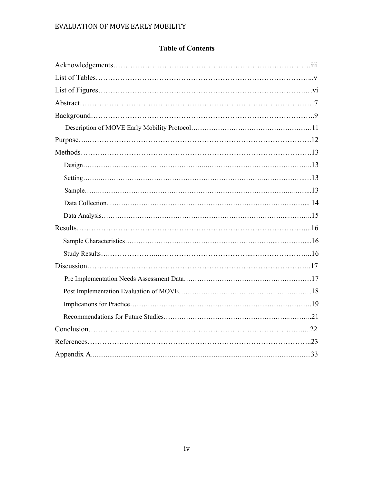### **Table of Contents**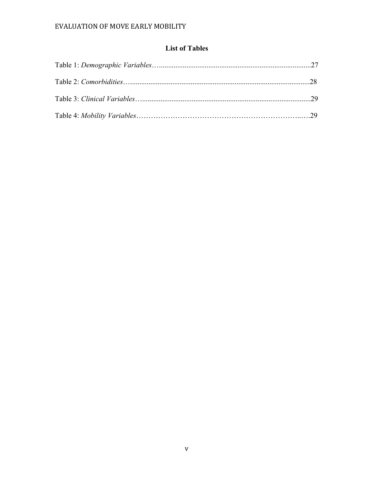# **List of Tables**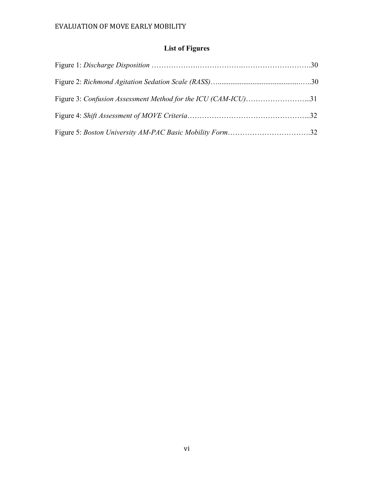# **List of Figures**

| Figure 3: Confusion Assessment Method for the ICU (CAM-ICU)31 |  |
|---------------------------------------------------------------|--|
|                                                               |  |
|                                                               |  |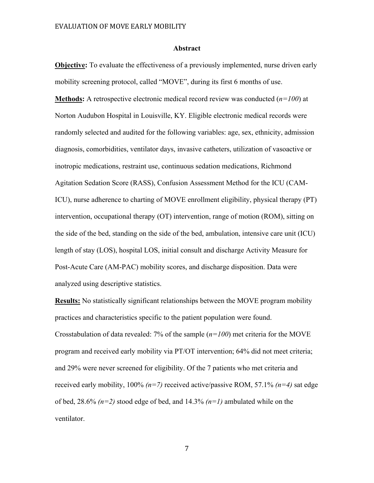#### **Abstract**

**Objective:** To evaluate the effectiveness of a previously implemented, nurse driven early mobility screening protocol, called "MOVE", during its first 6 months of use.

**Methods:** A retrospective electronic medical record review was conducted (*n=100*) at Norton Audubon Hospital in Louisville, KY. Eligible electronic medical records were randomly selected and audited for the following variables: age, sex, ethnicity, admission diagnosis, comorbidities, ventilator days, invasive catheters, utilization of vasoactive or inotropic medications, restraint use, continuous sedation medications, Richmond Agitation Sedation Score (RASS), Confusion Assessment Method for the ICU (CAM-ICU), nurse adherence to charting of MOVE enrollment eligibility, physical therapy (PT) intervention, occupational therapy (OT) intervention, range of motion (ROM), sitting on the side of the bed, standing on the side of the bed, ambulation, intensive care unit (ICU) length of stay (LOS), hospital LOS, initial consult and discharge Activity Measure for Post-Acute Care (AM-PAC) mobility scores, and discharge disposition. Data were analyzed using descriptive statistics.

**Results:** No statistically significant relationships between the MOVE program mobility practices and characteristics specific to the patient population were found. Crosstabulation of data revealed: 7% of the sample (*n=100*) met criteria for the MOVE program and received early mobility via PT/OT intervention; 64% did not meet criteria; and 29% were never screened for eligibility. Of the 7 patients who met criteria and received early mobility, 100% *(n=7)* received active/passive ROM, 57.1% *(n=4)* sat edge of bed, 28.6% *(n=2)* stood edge of bed, and 14.3% *(n=1)* ambulated while on the ventilator.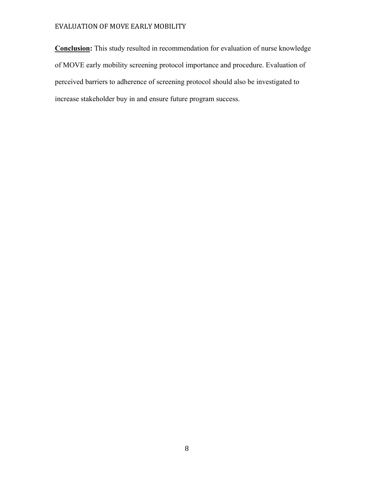**Conclusion:** This study resulted in recommendation for evaluation of nurse knowledge of MOVE early mobility screening protocol importance and procedure. Evaluation of perceived barriers to adherence of screening protocol should also be investigated to increase stakeholder buy in and ensure future program success.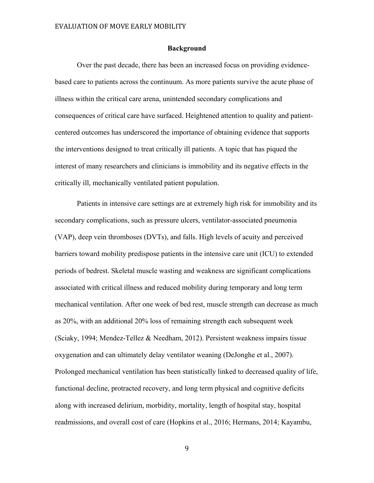#### **Background**

Over the past decade, there has been an increased focus on providing evidencebased care to patients across the continuum. As more patients survive the acute phase of illness within the critical care arena, unintended secondary complications and consequences of critical care have surfaced. Heightened attention to quality and patientcentered outcomes has underscored the importance of obtaining evidence that supports the interventions designed to treat critically ill patients. A topic that has piqued the interest of many researchers and clinicians is immobility and its negative effects in the critically ill, mechanically ventilated patient population.

Patients in intensive care settings are at extremely high risk for immobility and its secondary complications, such as pressure ulcers, ventilator-associated pneumonia (VAP), deep vein thromboses (DVTs), and falls. High levels of acuity and perceived barriers toward mobility predispose patients in the intensive care unit (ICU) to extended periods of bedrest. Skeletal muscle wasting and weakness are significant complications associated with critical illness and reduced mobility during temporary and long term mechanical ventilation. After one week of bed rest, muscle strength can decrease as much as 20%, with an additional 20% loss of remaining strength each subsequent week (Sciaky, 1994; Mendez-Tellez & Needham, 2012). Persistent weakness impairs tissue oxygenation and can ultimately delay ventilator weaning (DeJonghe et al., 2007). Prolonged mechanical ventilation has been statistically linked to decreased quality of life, functional decline, protracted recovery, and long term physical and cognitive deficits along with increased delirium, morbidity, mortality, length of hospital stay, hospital readmissions, and overall cost of care (Hopkins et al., 2016; Hermans, 2014; Kayambu,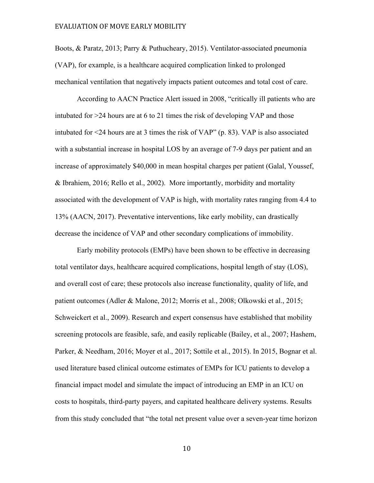Boots, & Paratz, 2013; Parry & Puthucheary, 2015). Ventilator-associated pneumonia (VAP), for example, is a healthcare acquired complication linked to prolonged mechanical ventilation that negatively impacts patient outcomes and total cost of care.

According to AACN Practice Alert issued in 2008, "critically ill patients who are intubated for >24 hours are at 6 to 21 times the risk of developing VAP and those intubated for <24 hours are at 3 times the risk of VAP" (p. 83). VAP is also associated with a substantial increase in hospital LOS by an average of 7-9 days per patient and an increase of approximately \$40,000 in mean hospital charges per patient (Galal, Youssef, & Ibrahiem, 2016; Rello et al., 2002). More importantly, morbidity and mortality associated with the development of VAP is high, with mortality rates ranging from 4.4 to 13% (AACN, 2017). Preventative interventions, like early mobility, can drastically decrease the incidence of VAP and other secondary complications of immobility.

Early mobility protocols (EMPs) have been shown to be effective in decreasing total ventilator days, healthcare acquired complications, hospital length of stay (LOS), and overall cost of care; these protocols also increase functionality, quality of life, and patient outcomes (Adler & Malone, 2012; Morris et al., 2008; Olkowski et al., 2015; Schweickert et al., 2009). Research and expert consensus have established that mobility screening protocols are feasible, safe, and easily replicable (Bailey, et al., 2007; Hashem, Parker, & Needham, 2016; Moyer et al., 2017; Sottile et al., 2015). In 2015, Bognar et al. used literature based clinical outcome estimates of EMPs for ICU patients to develop a financial impact model and simulate the impact of introducing an EMP in an ICU on costs to hospitals, third-party payers, and capitated healthcare delivery systems. Results from this study concluded that "the total net present value over a seven-year time horizon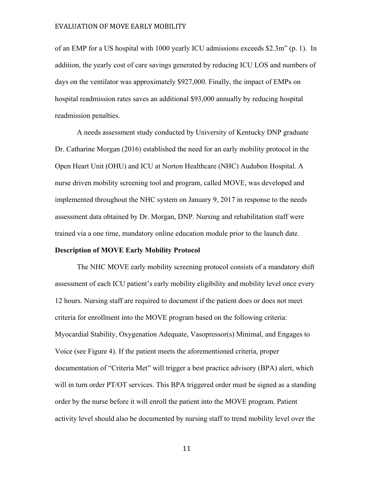of an EMP for a US hospital with 1000 yearly ICU admissions exceeds \$2.3m" (p. 1). In addition, the yearly cost of care savings generated by reducing ICU LOS and numbers of days on the ventilator was approximately \$927,000. Finally, the impact of EMPs on hospital readmission rates saves an additional \$93,000 annually by reducing hospital readmission penalties.

A needs assessment study conducted by University of Kentucky DNP graduate Dr. Catharine Morgan (2016) established the need for an early mobility protocol in the Open Heart Unit (OHU) and ICU at Norton Healthcare (NHC) Audubon Hospital. A nurse driven mobility screening tool and program, called MOVE, was developed and implemented throughout the NHC system on January 9, 2017 in response to the needs assessment data obtained by Dr. Morgan, DNP. Nursing and rehabilitation staff were trained via a one time, mandatory online education module prior to the launch date.

#### **Description of MOVE Early Mobility Protocol**

The NHC MOVE early mobility screening protocol consists of a mandatory shift assessment of each ICU patient's early mobility eligibility and mobility level once every 12 hours. Nursing staff are required to document if the patient does or does not meet criteria for enrollment into the MOVE program based on the following criteria: Myocardial Stability, Oxygenation Adequate, Vasopressor(s) Minimal, and Engages to Voice (see Figure 4). If the patient meets the aforementioned criteria, proper documentation of "Criteria Met" will trigger a best practice advisory (BPA) alert, which will in turn order PT/OT services. This BPA triggered order must be signed as a standing order by the nurse before it will enroll the patient into the MOVE program. Patient activity level should also be documented by nursing staff to trend mobility level over the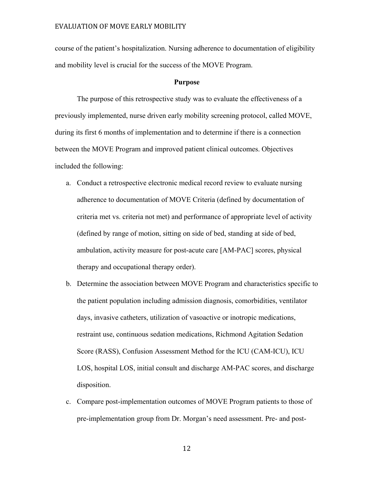course of the patient's hospitalization. Nursing adherence to documentation of eligibility and mobility level is crucial for the success of the MOVE Program.

#### **Purpose**

The purpose of this retrospective study was to evaluate the effectiveness of a previously implemented, nurse driven early mobility screening protocol, called MOVE, during its first 6 months of implementation and to determine if there is a connection between the MOVE Program and improved patient clinical outcomes. Objectives included the following:

- a. Conduct a retrospective electronic medical record review to evaluate nursing adherence to documentation of MOVE Criteria (defined by documentation of criteria met vs. criteria not met) and performance of appropriate level of activity (defined by range of motion, sitting on side of bed, standing at side of bed, ambulation, activity measure for post-acute care [AM-PAC] scores, physical therapy and occupational therapy order).
- b. Determine the association between MOVE Program and characteristics specific to the patient population including admission diagnosis, comorbidities, ventilator days, invasive catheters, utilization of vasoactive or inotropic medications, restraint use, continuous sedation medications, Richmond Agitation Sedation Score (RASS), Confusion Assessment Method for the ICU (CAM-ICU), ICU LOS, hospital LOS, initial consult and discharge AM-PAC scores, and discharge disposition.
- c. Compare post-implementation outcomes of MOVE Program patients to those of pre-implementation group from Dr. Morgan's need assessment. Pre- and post-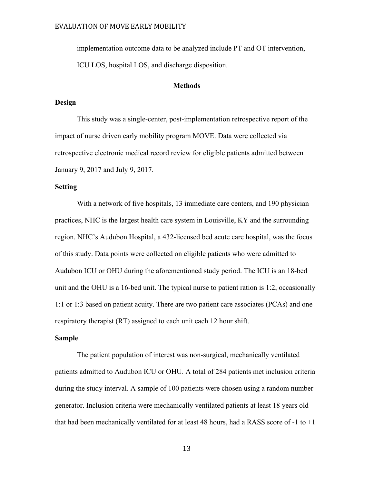implementation outcome data to be analyzed include PT and OT intervention, ICU LOS, hospital LOS, and discharge disposition.

#### **Methods**

#### **Design**

This study was a single-center, post-implementation retrospective report of the impact of nurse driven early mobility program MOVE. Data were collected via retrospective electronic medical record review for eligible patients admitted between January 9, 2017 and July 9, 2017.

#### **Setting**

 With a network of five hospitals, 13 immediate care centers, and 190 physician practices, NHC is the largest health care system in Louisville, KY and the surrounding region. NHC's Audubon Hospital, a 432-licensed bed acute care hospital, was the focus of this study. Data points were collected on eligible patients who were admitted to Audubon ICU or OHU during the aforementioned study period. The ICU is an 18-bed unit and the OHU is a 16-bed unit. The typical nurse to patient ration is 1:2, occasionally 1:1 or 1:3 based on patient acuity. There are two patient care associates (PCAs) and one respiratory therapist (RT) assigned to each unit each 12 hour shift.

#### **Sample**

The patient population of interest was non-surgical, mechanically ventilated patients admitted to Audubon ICU or OHU. A total of 284 patients met inclusion criteria during the study interval. A sample of 100 patients were chosen using a random number generator. Inclusion criteria were mechanically ventilated patients at least 18 years old that had been mechanically ventilated for at least 48 hours, had a RASS score of -1 to  $+1$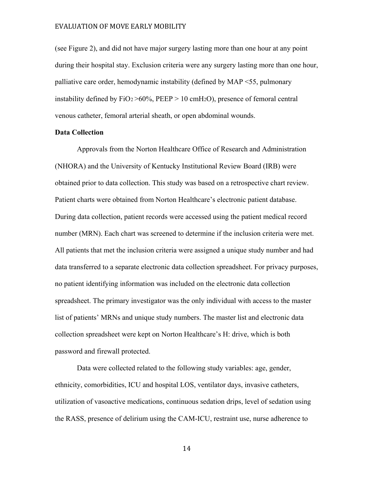(see Figure 2), and did not have major surgery lasting more than one hour at any point during their hospital stay. Exclusion criteria were any surgery lasting more than one hour, palliative care order, hemodynamic instability (defined by MAP <55, pulmonary instability defined by  $FiO_2 > 60\%$ ,  $PEEP > 10 \text{ cm}H_2O$ ), presence of femoral central venous catheter, femoral arterial sheath, or open abdominal wounds.

#### **Data Collection**

Approvals from the Norton Healthcare Office of Research and Administration (NHORA) and the University of Kentucky Institutional Review Board (IRB) were obtained prior to data collection. This study was based on a retrospective chart review. Patient charts were obtained from Norton Healthcare's electronic patient database. During data collection, patient records were accessed using the patient medical record number (MRN). Each chart was screened to determine if the inclusion criteria were met. All patients that met the inclusion criteria were assigned a unique study number and had data transferred to a separate electronic data collection spreadsheet. For privacy purposes, no patient identifying information was included on the electronic data collection spreadsheet. The primary investigator was the only individual with access to the master list of patients' MRNs and unique study numbers. The master list and electronic data collection spreadsheet were kept on Norton Healthcare's H: drive, which is both password and firewall protected.

Data were collected related to the following study variables: age, gender, ethnicity, comorbidities, ICU and hospital LOS, ventilator days, invasive catheters, utilization of vasoactive medications, continuous sedation drips, level of sedation using the RASS, presence of delirium using the CAM-ICU, restraint use, nurse adherence to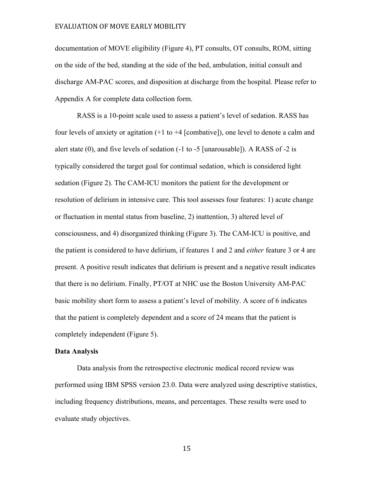documentation of MOVE eligibility (Figure 4), PT consults, OT consults, ROM, sitting on the side of the bed, standing at the side of the bed, ambulation, initial consult and discharge AM-PAC scores, and disposition at discharge from the hospital. Please refer to Appendix A for complete data collection form.

RASS is a 10-point scale used to assess a patient's level of sedation. RASS has four levels of anxiety or agitation (+1 to +4 [combative]), one level to denote a calm and alert state (0), and five levels of sedation (-1 to -5 [unarousable]). A RASS of -2 is typically considered the target goal for continual sedation, which is considered light sedation (Figure 2). The CAM-ICU monitors the patient for the development or resolution of delirium in intensive care. This tool assesses four features: 1) acute change or fluctuation in mental status from baseline, 2) inattention, 3) altered level of consciousness, and 4) disorganized thinking (Figure 3). The CAM-ICU is positive, and the patient is considered to have delirium, if features 1 and 2 and *either* feature 3 or 4 are present. A positive result indicates that delirium is present and a negative result indicates that there is no delirium. Finally, PT/OT at NHC use the Boston University AM-PAC basic mobility short form to assess a patient's level of mobility. A score of 6 indicates that the patient is completely dependent and a score of 24 means that the patient is completely independent (Figure 5).

#### **Data Analysis**

 Data analysis from the retrospective electronic medical record review was performed using IBM SPSS version 23.0. Data were analyzed using descriptive statistics, including frequency distributions, means, and percentages. These results were used to evaluate study objectives.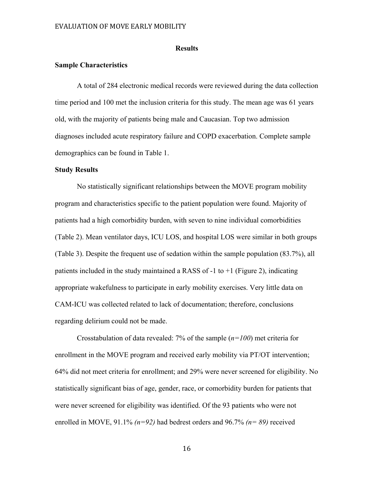#### **Results**

#### **Sample Characteristics**

A total of 284 electronic medical records were reviewed during the data collection time period and 100 met the inclusion criteria for this study. The mean age was 61 years old, with the majority of patients being male and Caucasian. Top two admission diagnoses included acute respiratory failure and COPD exacerbation. Complete sample demographics can be found in Table 1.

#### **Study Results**

No statistically significant relationships between the MOVE program mobility program and characteristics specific to the patient population were found. Majority of patients had a high comorbidity burden, with seven to nine individual comorbidities (Table 2). Mean ventilator days, ICU LOS, and hospital LOS were similar in both groups (Table 3). Despite the frequent use of sedation within the sample population (83.7%), all patients included in the study maintained a RASS of  $-1$  to  $+1$  (Figure 2), indicating appropriate wakefulness to participate in early mobility exercises. Very little data on CAM-ICU was collected related to lack of documentation; therefore, conclusions regarding delirium could not be made.

Crosstabulation of data revealed: 7% of the sample (*n=100*) met criteria for enrollment in the MOVE program and received early mobility via PT/OT intervention; 64% did not meet criteria for enrollment; and 29% were never screened for eligibility. No statistically significant bias of age, gender, race, or comorbidity burden for patients that were never screened for eligibility was identified. Of the 93 patients who were not enrolled in MOVE, 91.1% *(n=92)* had bedrest orders and 96.7% *(n= 89)* received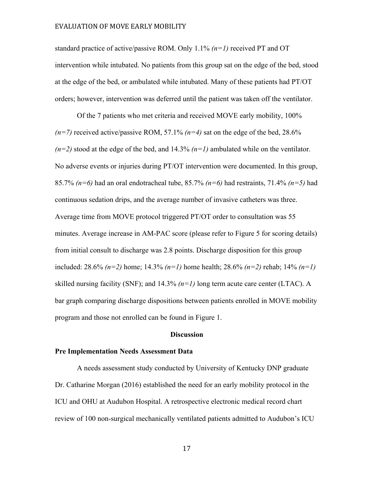standard practice of active/passive ROM. Only 1.1% *(n=1)* received PT and OT intervention while intubated. No patients from this group sat on the edge of the bed, stood at the edge of the bed, or ambulated while intubated. Many of these patients had PT/OT orders; however, intervention was deferred until the patient was taken off the ventilator.

Of the 7 patients who met criteria and received MOVE early mobility, 100%  $(n=7)$  received active/passive ROM, 57.1%  $(n=4)$  sat on the edge of the bed, 28.6%  $(n=2)$  stood at the edge of the bed, and 14.3%  $(n=1)$  ambulated while on the ventilator. No adverse events or injuries during PT/OT intervention were documented. In this group, 85.7% *(n=6)* had an oral endotracheal tube, 85.7% *(n=6)* had restraints, 71.4% *(n=5)* had continuous sedation drips, and the average number of invasive catheters was three. Average time from MOVE protocol triggered PT/OT order to consultation was 55 minutes. Average increase in AM-PAC score (please refer to Figure 5 for scoring details) from initial consult to discharge was 2.8 points. Discharge disposition for this group included: 28.6% *(n=2)* home; 14.3% *(n=1)* home health; 28.6% *(n=2)* rehab; 14% *(n=1)*  skilled nursing facility (SNF); and  $14.3\%$   $(n=1)$  long term acute care center (LTAC). A bar graph comparing discharge dispositions between patients enrolled in MOVE mobility program and those not enrolled can be found in Figure 1.

#### **Discussion**

#### **Pre Implementation Needs Assessment Data**

A needs assessment study conducted by University of Kentucky DNP graduate Dr. Catharine Morgan (2016) established the need for an early mobility protocol in the ICU and OHU at Audubon Hospital. A retrospective electronic medical record chart review of 100 non-surgical mechanically ventilated patients admitted to Audubon's ICU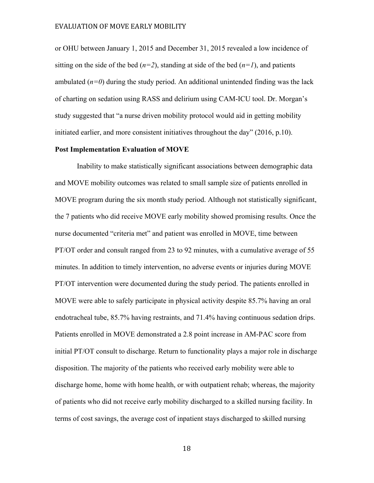or OHU between January 1, 2015 and December 31, 2015 revealed a low incidence of sitting on the side of the bed  $(n=2)$ , standing at side of the bed  $(n=1)$ , and patients ambulated  $(n=0)$  during the study period. An additional unintended finding was the lack of charting on sedation using RASS and delirium using CAM-ICU tool. Dr. Morgan's study suggested that "a nurse driven mobility protocol would aid in getting mobility initiated earlier, and more consistent initiatives throughout the day" (2016, p.10).

#### **Post Implementation Evaluation of MOVE**

Inability to make statistically significant associations between demographic data and MOVE mobility outcomes was related to small sample size of patients enrolled in MOVE program during the six month study period. Although not statistically significant, the 7 patients who did receive MOVE early mobility showed promising results. Once the nurse documented "criteria met" and patient was enrolled in MOVE, time between PT/OT order and consult ranged from 23 to 92 minutes, with a cumulative average of 55 minutes. In addition to timely intervention, no adverse events or injuries during MOVE PT/OT intervention were documented during the study period. The patients enrolled in MOVE were able to safely participate in physical activity despite 85.7% having an oral endotracheal tube, 85.7% having restraints, and 71.4% having continuous sedation drips. Patients enrolled in MOVE demonstrated a 2.8 point increase in AM-PAC score from initial PT/OT consult to discharge. Return to functionality plays a major role in discharge disposition. The majority of the patients who received early mobility were able to discharge home, home with home health, or with outpatient rehab; whereas, the majority of patients who did not receive early mobility discharged to a skilled nursing facility. In terms of cost savings, the average cost of inpatient stays discharged to skilled nursing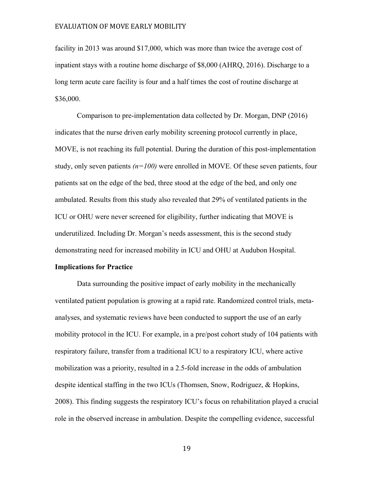facility in 2013 was around \$17,000, which was more than twice the average cost of inpatient stays with a routine home discharge of \$8,000 (AHRQ, 2016). Discharge to a long term acute care facility is four and a half times the cost of routine discharge at \$36,000.

Comparison to pre-implementation data collected by Dr. Morgan, DNP (2016) indicates that the nurse driven early mobility screening protocol currently in place, MOVE, is not reaching its full potential. During the duration of this post-implementation study, only seven patients *(n=100)* were enrolled in MOVE. Of these seven patients, four patients sat on the edge of the bed, three stood at the edge of the bed, and only one ambulated. Results from this study also revealed that 29% of ventilated patients in the ICU or OHU were never screened for eligibility, further indicating that MOVE is underutilized. Including Dr. Morgan's needs assessment, this is the second study demonstrating need for increased mobility in ICU and OHU at Audubon Hospital.

#### **Implications for Practice**

Data surrounding the positive impact of early mobility in the mechanically ventilated patient population is growing at a rapid rate. Randomized control trials, metaanalyses, and systematic reviews have been conducted to support the use of an early mobility protocol in the ICU. For example, in a pre/post cohort study of 104 patients with respiratory failure, transfer from a traditional ICU to a respiratory ICU, where active mobilization was a priority, resulted in a 2.5-fold increase in the odds of ambulation despite identical staffing in the two ICUs (Thomsen, Snow, Rodriguez, & Hopkins, 2008). This finding suggests the respiratory ICU's focus on rehabilitation played a crucial role in the observed increase in ambulation. Despite the compelling evidence, successful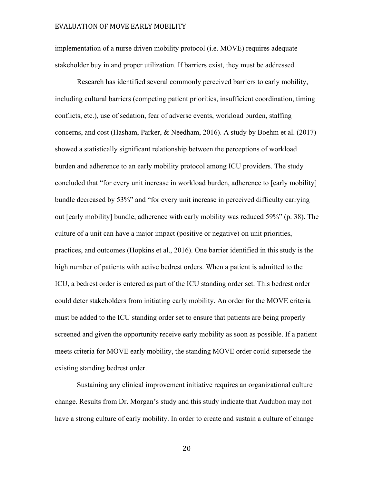implementation of a nurse driven mobility protocol (i.e. MOVE) requires adequate stakeholder buy in and proper utilization. If barriers exist, they must be addressed.

Research has identified several commonly perceived barriers to early mobility, including cultural barriers (competing patient priorities, insufficient coordination, timing conflicts, etc.), use of sedation, fear of adverse events, workload burden, staffing concerns, and cost (Hasham, Parker, & Needham, 2016). A study by Boehm et al. (2017) showed a statistically significant relationship between the perceptions of workload burden and adherence to an early mobility protocol among ICU providers. The study concluded that "for every unit increase in workload burden, adherence to [early mobility] bundle decreased by 53%" and "for every unit increase in perceived difficulty carrying out [early mobility] bundle, adherence with early mobility was reduced 59%" (p. 38). The culture of a unit can have a major impact (positive or negative) on unit priorities, practices, and outcomes (Hopkins et al., 2016). One barrier identified in this study is the high number of patients with active bedrest orders. When a patient is admitted to the ICU, a bedrest order is entered as part of the ICU standing order set. This bedrest order could deter stakeholders from initiating early mobility. An order for the MOVE criteria must be added to the ICU standing order set to ensure that patients are being properly screened and given the opportunity receive early mobility as soon as possible. If a patient meets criteria for MOVE early mobility, the standing MOVE order could supersede the existing standing bedrest order.

Sustaining any clinical improvement initiative requires an organizational culture change. Results from Dr. Morgan's study and this study indicate that Audubon may not have a strong culture of early mobility. In order to create and sustain a culture of change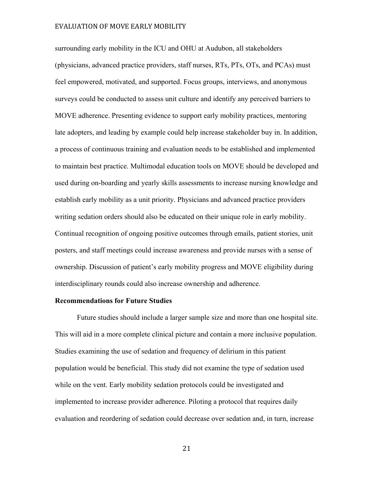surrounding early mobility in the ICU and OHU at Audubon, all stakeholders (physicians, advanced practice providers, staff nurses, RTs, PTs, OTs, and PCAs) must feel empowered, motivated, and supported. Focus groups, interviews, and anonymous surveys could be conducted to assess unit culture and identify any perceived barriers to MOVE adherence. Presenting evidence to support early mobility practices, mentoring late adopters, and leading by example could help increase stakeholder buy in. In addition, a process of continuous training and evaluation needs to be established and implemented to maintain best practice. Multimodal education tools on MOVE should be developed and used during on-boarding and yearly skills assessments to increase nursing knowledge and establish early mobility as a unit priority. Physicians and advanced practice providers writing sedation orders should also be educated on their unique role in early mobility. Continual recognition of ongoing positive outcomes through emails, patient stories, unit posters, and staff meetings could increase awareness and provide nurses with a sense of ownership. Discussion of patient's early mobility progress and MOVE eligibility during interdisciplinary rounds could also increase ownership and adherence.

#### **Recommendations for Future Studies**

Future studies should include a larger sample size and more than one hospital site. This will aid in a more complete clinical picture and contain a more inclusive population. Studies examining the use of sedation and frequency of delirium in this patient population would be beneficial. This study did not examine the type of sedation used while on the vent. Early mobility sedation protocols could be investigated and implemented to increase provider adherence. Piloting a protocol that requires daily evaluation and reordering of sedation could decrease over sedation and, in turn, increase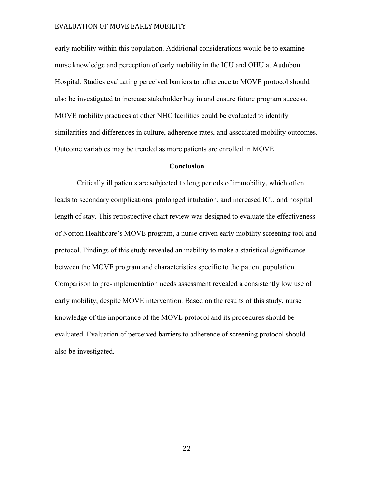early mobility within this population. Additional considerations would be to examine nurse knowledge and perception of early mobility in the ICU and OHU at Audubon Hospital. Studies evaluating perceived barriers to adherence to MOVE protocol should also be investigated to increase stakeholder buy in and ensure future program success. MOVE mobility practices at other NHC facilities could be evaluated to identify similarities and differences in culture, adherence rates, and associated mobility outcomes. Outcome variables may be trended as more patients are enrolled in MOVE.

#### **Conclusion**

 Critically ill patients are subjected to long periods of immobility, which often leads to secondary complications, prolonged intubation, and increased ICU and hospital length of stay. This retrospective chart review was designed to evaluate the effectiveness of Norton Healthcare's MOVE program, a nurse driven early mobility screening tool and protocol. Findings of this study revealed an inability to make a statistical significance between the MOVE program and characteristics specific to the patient population. Comparison to pre-implementation needs assessment revealed a consistently low use of early mobility, despite MOVE intervention. Based on the results of this study, nurse knowledge of the importance of the MOVE protocol and its procedures should be evaluated. Evaluation of perceived barriers to adherence of screening protocol should also be investigated.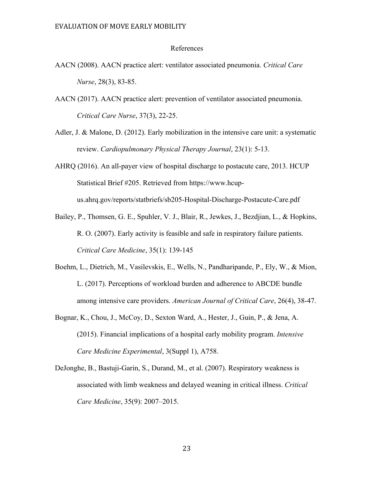#### References

- AACN (2008). AACN practice alert: ventilator associated pneumonia. *Critical Care Nurse*, 28(3), 83-85.
- AACN (2017). AACN practice alert: prevention of ventilator associated pneumonia. *Critical Care Nurse*, 37(3), 22-25.
- Adler, J. & Malone, D. (2012). Early mobilization in the intensive care unit: a systematic review. *Cardiopulmonary Physical Therapy Journal*, 23(1): 5-13.
- AHRQ (2016). An all-payer view of hospital discharge to postacute care, 2013. HCUP Statistical Brief #205. Retrieved from https://www.hcupus.ahrq.gov/reports/statbriefs/sb205-Hospital-Discharge-Postacute-Care.pdf
- Bailey, P., Thomsen, G. E., Spuhler, V. J., Blair, R., Jewkes, J., Bezdjian, L., & Hopkins, R. O. (2007). Early activity is feasible and safe in respiratory failure patients. *Critical Care Medicine*, 35(1): 139-145
- Boehm, L., Dietrich, M., Vasilevskis, E., Wells, N., Pandharipande, P., Ely, W., & Mion, L. (2017). Perceptions of workload burden and adherence to ABCDE bundle among intensive care providers. *American Journal of Critical Care*, 26(4), 38-47.
- Bognar, K., Chou, J., McCoy, D., Sexton Ward, A., Hester, J., Guin, P., & Jena, A. (2015). Financial implications of a hospital early mobility program. *Intensive Care Medicine Experimental*, 3(Suppl 1), A758.
- DeJonghe, B., Bastuji-Garin, S., Durand, M., et al. (2007). Respiratory weakness is associated with limb weakness and delayed weaning in critical illness. *Critical Care Medicine*, 35(9): 2007–2015.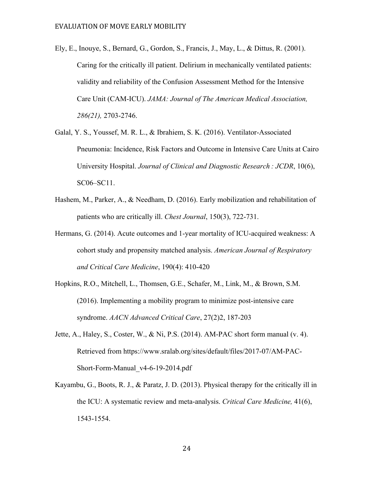- Ely, E., Inouye, S., Bernard, G., Gordon, S., Francis, J., May, L., & Dittus, R. (2001). Caring for the critically ill patient. Delirium in mechanically ventilated patients: validity and reliability of the Confusion Assessment Method for the Intensive Care Unit (CAM-ICU). *JAMA: Journal of The American Medical Association, 286(21),* 2703-2746.
- Galal, Y. S., Youssef, M. R. L., & Ibrahiem, S. K. (2016). Ventilator-Associated Pneumonia: Incidence, Risk Factors and Outcome in Intensive Care Units at Cairo University Hospital. *Journal of Clinical and Diagnostic Research : JCDR*, 10(6), SC06–SC11.
- Hashem, M., Parker, A., & Needham, D. (2016). Early mobilization and rehabilitation of patients who are critically ill. *Chest Journal*, 150(3), 722-731.
- Hermans, G. (2014). Acute outcomes and 1-year mortality of ICU-acquired weakness: A cohort study and propensity matched analysis. *American Journal of Respiratory and Critical Care Medicine*, 190(4): 410-420
- Hopkins, R.O., Mitchell, L., Thomsen, G.E., Schafer, M., Link, M., & Brown, S.M. (2016). Implementing a mobility program to minimize post-intensive care syndrome. *AACN Advanced Critical Care*, 27(2)2, 187-203
- Jette, A., Haley, S., Coster, W., & Ni, P.S. (2014). AM-PAC short form manual (v. 4). Retrieved from https://www.sralab.org/sites/default/files/2017-07/AM-PAC-Short-Form-Manual v4-6-19-2014.pdf
- Kayambu, G., Boots, R. J., & Paratz, J. D. (2013). Physical therapy for the critically ill in the ICU: A systematic review and meta-analysis. *Critical Care Medicine,* 41(6), 1543-1554.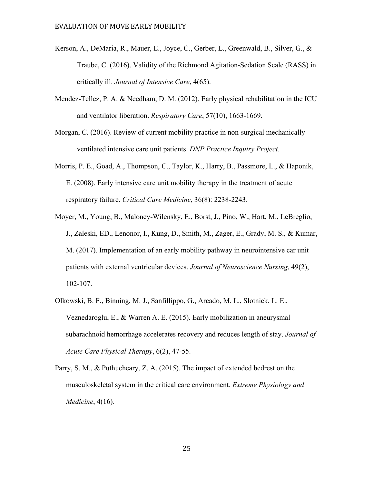- Kerson, A., DeMaria, R., Mauer, E., Joyce, C., Gerber, L., Greenwald, B., Silver, G., & Traube, C. (2016). Validity of the Richmond Agitation-Sedation Scale (RASS) in critically ill. *Journal of Intensive Care*, 4(65).
- Mendez-Tellez, P. A. & Needham, D. M. (2012). Early physical rehabilitation in the ICU and ventilator liberation. *Respiratory Care*, 57(10), 1663-1669.
- Morgan, C. (2016). Review of current mobility practice in non-surgical mechanically ventilated intensive care unit patients. *DNP Practice Inquiry Project.*
- Morris, P. E., Goad, A., Thompson, C., Taylor, K., Harry, B., Passmore, L., & Haponik, E. (2008). Early intensive care unit mobility therapy in the treatment of acute respiratory failure. *Critical Care Medicine*, 36(8): 2238-2243.
- Moyer, M., Young, B., Maloney-Wilensky, E., Borst, J., Pino, W., Hart, M., LeBreglio, J., Zaleski, ED., Lenonor, I., Kung, D., Smith, M., Zager, E., Grady, M. S., & Kumar, M. (2017). Implementation of an early mobility pathway in neurointensive car unit patients with external ventricular devices. *Journal of Neuroscience Nursing*, 49(2), 102-107.
- Olkowski, B. F., Binning, M. J., Sanfillippo, G., Arcado, M. L., Slotnick, L. E., Veznedaroglu, E., & Warren A. E. (2015). Early mobilization in aneurysmal subarachnoid hemorrhage accelerates recovery and reduces length of stay. *Journal of Acute Care Physical Therapy*, 6(2), 47-55.
- Parry, S. M., & Puthucheary, Z. A. (2015). The impact of extended bedrest on the musculoskeletal system in the critical care environment. *Extreme Physiology and Medicine*, 4(16).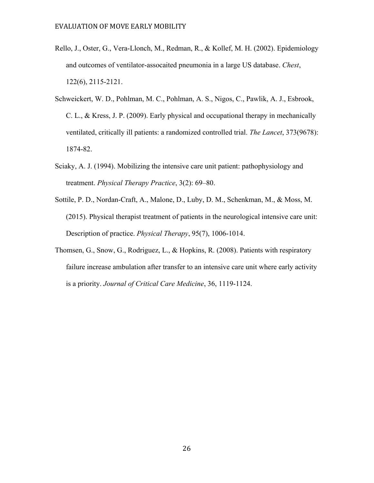- Rello, J., Oster, G., Vera-Llonch, M., Redman, R., & Kollef, M. H. (2002). Epidemiology and outcomes of ventilator-assocaited pneumonia in a large US database. *Chest*, 122(6), 2115-2121.
- Schweickert, W. D., Pohlman, M. C., Pohlman, A. S., Nigos, C., Pawlik, A. J., Esbrook, C. L., & Kress, J. P. (2009). Early physical and occupational therapy in mechanically ventilated, critically ill patients: a randomized controlled trial. *The Lancet*, 373(9678): 1874-82.
- Sciaky, A. J. (1994). Mobilizing the intensive care unit patient: pathophysiology and treatment. *Physical Therapy Practice*, 3(2): 69–80.
- Sottile, P. D., Nordan-Craft, A., Malone, D., Luby, D. M., Schenkman, M., & Moss, M. (2015). Physical therapist treatment of patients in the neurological intensive care unit: Description of practice. *Physical Therapy*, 95(7), 1006-1014.
- Thomsen, G., Snow, G., Rodriguez, L., & Hopkins, R. (2008). Patients with respiratory failure increase ambulation after transfer to an intensive care unit where early activity is a priority. *Journal of Critical Care Medicine*, 36, 1119-1124.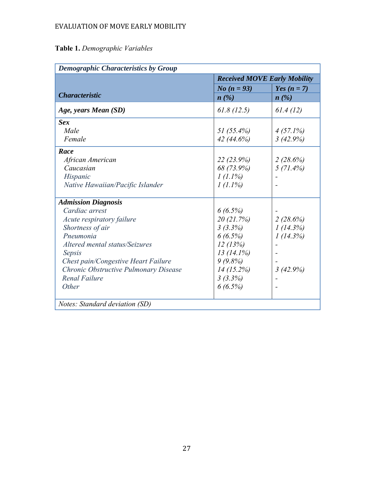# **Table 1.** *Demographic Variables*

|                                       | <b>Received MOVE Early Mobility</b> |               |  |  |
|---------------------------------------|-------------------------------------|---------------|--|--|
|                                       | <i>No</i> $(n = 93)$                | Yes $(n = 7)$ |  |  |
| <b>Characteristic</b>                 | $n(\%)$                             | $n(\%)$       |  |  |
| Age, years Mean (SD)                  | 61.8(12.5)                          | 61.4(12)      |  |  |
| <b>Sex</b>                            |                                     |               |  |  |
| Male                                  | 51 $(55.4\%)$                       | $4(57.1\%)$   |  |  |
| Female                                | 42(44.6%)                           | 3(42.9%)      |  |  |
| Race                                  |                                     |               |  |  |
| African American                      | 22(23.9%)                           | 2(28.6%)      |  |  |
| Caucasian                             | 68 (73.9%)                          | $5(71.4\%)$   |  |  |
| Hispanic                              | $1(1.1\%)$                          |               |  |  |
| Native Hawaiian/Pacific Islander      | $1(1.1\%)$                          |               |  |  |
| <b>Admission Diagnosis</b>            |                                     |               |  |  |
| Cardiac arrest                        | 6(6.5%)                             |               |  |  |
| Acute respiratory failure             | 20(21.7%)                           | 2(28.6%)      |  |  |
| Shortness of air                      | 3(3.3%)                             | 1(14.3%)      |  |  |
| Pneumonia                             | $6(6.5\%)$                          | 1(14.3%)      |  |  |
| Altered mental status/Seizures        | 12(13%)                             |               |  |  |
| Sepsis                                | $13(14.1\%)$                        |               |  |  |
| Chest pain/Congestive Heart Failure   | 9(9.8%)                             |               |  |  |
| Chronic Obstructive Pulmonary Disease | 14(15.2%)                           | 3(42.9%)      |  |  |
| <b>Renal Failure</b>                  | 3(3.3%)                             |               |  |  |
| Other                                 | 6(6.5%)                             |               |  |  |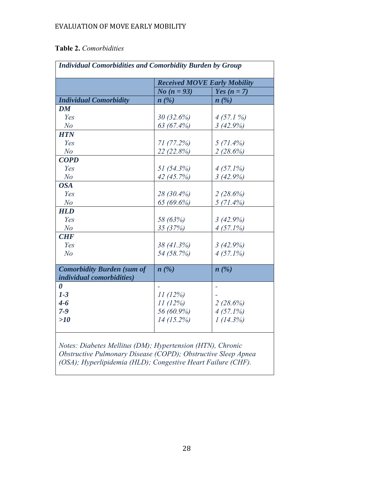# **Table 2.** *Comorbidities*

|                                   |                      | <b>Received MOVE Early Mobility</b> |
|-----------------------------------|----------------------|-------------------------------------|
|                                   | <i>No</i> $(n = 93)$ | Yes $(n = 7)$                       |
| <b>Individual Comorbidity</b>     | n(%)                 | n(%)                                |
| DM                                |                      |                                     |
| Yes                               | 30(32.6%)            | $4(57.1\%)$                         |
| N <sub>o</sub>                    | 63 (67.4%)           | 3(42.9%)                            |
| <b>HTN</b>                        |                      |                                     |
| Yes                               | 71(77.2%)            | $5(71.4\%)$                         |
| N <sub>o</sub>                    | 22 (22.8%)           | 2(28.6%)                            |
| <b>COPD</b>                       |                      |                                     |
| Yes                               | 51 (54.3%)           | $4(57.1\%)$                         |
| N <sub>o</sub>                    | 42 (45.7%)           | 3(42.9%)                            |
| <b>OSA</b>                        |                      |                                     |
| Yes                               | 28 (30.4%)           | 2(28.6%)                            |
| N <sub>o</sub>                    | 65 (69.6%)           | $5(71.4\%)$                         |
| <b>HLD</b>                        |                      |                                     |
| Yes                               | 58 (63%)             | 3(42.9%)                            |
| N <sub>o</sub>                    | 35 (37%)             | $4(57.1\%)$                         |
| <b>CHF</b>                        |                      |                                     |
| Yes                               | 38 (41.3%)           | 3(42.9%)                            |
| N <sub>o</sub>                    | 54 (58.7%)           | $4(57.1\%)$                         |
|                                   |                      |                                     |
| <b>Comorbidity Burden (sum of</b> | $n(\%)$              | n(%)                                |
| individual comorbidities)         |                      |                                     |
| $\boldsymbol{\theta}$             |                      |                                     |
| $1-3$                             | 11(12%)              |                                     |
| $4 - 6$                           | 11(12%)              | 2(28.6%)                            |
| $7 - 9$                           | 56 (60.9%)           | $4(57.1\%)$                         |
| >10                               | 14(15.2%)            | 1(14.3%)                            |

*Notes: Diabetes Mellitus (DM); Hypertension (HTN), Chronic Obstructive Pulmonary Disease (COPD); Obstructive Sleep Apnea (OSA); Hyperlipidemia (HLD); Congestive Heart Failure (CHF).*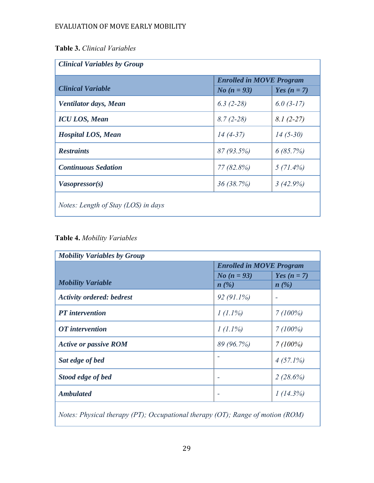**Table 3.** *Clinical Variables* 

| <b>Enrolled in MOVE Program</b>            |                      |               |  |  |  |
|--------------------------------------------|----------------------|---------------|--|--|--|
| <b>Clinical Variable</b>                   | <i>No</i> $(n = 93)$ | Yes $(n = 7)$ |  |  |  |
| Ventilator days, Mean                      | $6.3(2-28)$          | $6.0(3-17)$   |  |  |  |
| <b>ICU LOS, Mean</b>                       | $8.7(2-28)$          | $8.1(2-27)$   |  |  |  |
| <b>Hospital LOS, Mean</b>                  | $14(4-37)$           | $14(5-30)$    |  |  |  |
| <b>Restraints</b>                          | 87(93.5%)            | 6(85.7%)      |  |  |  |
| <b>Continuous Sedation</b>                 | $77(82.8\%)$         | $5(71.4\%)$   |  |  |  |
| Vasopressor(s)                             | 36(38.7%)            | 3(42.9%)      |  |  |  |
| <i>Notes: Length of Stay (LOS) in days</i> |                      |               |  |  |  |

**Table 4.** *Mobility Variables* 

| <b>Mobility Variables by Group</b><br><b>Enrolled in MOVE Program</b> |                              |                          |  |  |  |
|-----------------------------------------------------------------------|------------------------------|--------------------------|--|--|--|
| <b>Mobility Variable</b>                                              | <i>No</i> $(n = 93)$<br>n(%) | Yes $(n = 7)$<br>$n(\%)$ |  |  |  |
| <b>Activity ordered: bedrest</b>                                      | $92(91.1\%)$                 |                          |  |  |  |
| <b>PT</b> intervention                                                | $1(1.1\%)$                   | 7(100%)                  |  |  |  |
| OT intervention                                                       | $1(1.1\%)$                   | 7(100%)                  |  |  |  |
| <b>Active or passive ROM</b>                                          | 89 (96.7%)                   | 7(100%)                  |  |  |  |
| Sat edge of bed                                                       |                              | $4(57.1\%)$              |  |  |  |
| Stood edge of bed                                                     |                              | 2(28.6%)                 |  |  |  |
| <b>Ambulated</b>                                                      |                              | 1(14.3%)                 |  |  |  |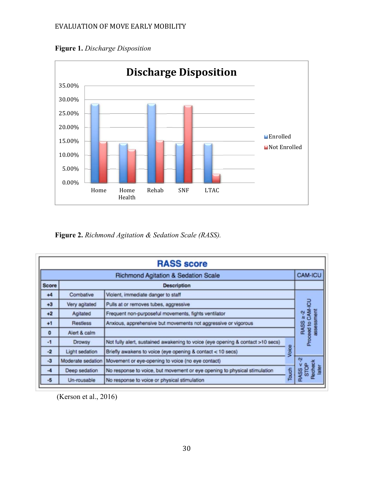



**Figure 2.** *Richmond Agitation & Sedation Scale (RASS).* 

| <b>RASS score</b>                                                |                       |                                                                                |       |                                             |  |
|------------------------------------------------------------------|-----------------------|--------------------------------------------------------------------------------|-------|---------------------------------------------|--|
| <b>CAM-ICU</b><br><b>Richmond Agitation &amp; Sedation Scale</b> |                       |                                                                                |       |                                             |  |
| <b>Score</b>                                                     |                       | <b>Description</b>                                                             |       |                                             |  |
| $+4$                                                             | Combative             | Violent, immediate danger to staff                                             |       |                                             |  |
| $+3$                                                             | Very agitated         | Pulls at or removes tubes, aggressive                                          |       | g                                           |  |
| $+2$                                                             | Agitated              | Frequent non-purposeful movements, fights ventilator                           |       | ment<br>$\geq$ -2                           |  |
| $+1$                                                             | <b>Restless</b>       | Anxious, apprehensive but movements not aggressive or vigorous                 |       | RASS                                        |  |
| $\mathbf{0}$                                                     | Alert & calm          |                                                                                |       | Proceed to CAM-                             |  |
| $-1$                                                             | <b>Drowsy</b>         | Not fully alert, sustained awakening to voice (eye opening & contact >10 secs) |       |                                             |  |
| $-2$                                                             | <b>Light sedation</b> | Briefly awakens to voice (eye opening & contact < 10 secs)                     | Voice |                                             |  |
| $-3$                                                             | Moderate sedation     | Movement or eye-opening to voice (no eye contact)                              |       | Ņ                                           |  |
| $-4$                                                             | Deep sedation         | No response to voice, but movement or eye opening to physical stimulation      | Touch | <b>scheck</b><br><b>STOP</b><br><b>RASS</b> |  |
| $-5$                                                             | Un-rousable           | No response to voice or physical stimulation                                   |       |                                             |  |

(Kerson et al., 2016)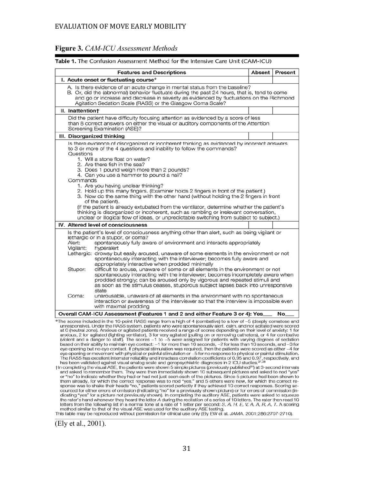#### **Figure 3.** *CAM-ICU Assessment Methods*

| <b>Features and Descriptions</b>                                                                                                                                                                                                                                                                                                                                                                                                                                                                                                                                                                                                                                                                                                                                                                                                                                                                                                                                                                                                              | Absent | Present |  |  |
|-----------------------------------------------------------------------------------------------------------------------------------------------------------------------------------------------------------------------------------------------------------------------------------------------------------------------------------------------------------------------------------------------------------------------------------------------------------------------------------------------------------------------------------------------------------------------------------------------------------------------------------------------------------------------------------------------------------------------------------------------------------------------------------------------------------------------------------------------------------------------------------------------------------------------------------------------------------------------------------------------------------------------------------------------|--------|---------|--|--|
| I. Acute onset or fluctuating course*                                                                                                                                                                                                                                                                                                                                                                                                                                                                                                                                                                                                                                                                                                                                                                                                                                                                                                                                                                                                         |        |         |  |  |
| A. Is there evidence of an acute change in mental status from the baseline?<br>B. Or, did the (abnormal) behavior fluctuate during the past 24 hours, that is, tend to come<br>and go or increase and decrease in severity as evidenced by fluctuations on the Richmond<br>Agitation Sedation Scale (RASS) or the Glasgow Coma Scale?                                                                                                                                                                                                                                                                                                                                                                                                                                                                                                                                                                                                                                                                                                         |        |         |  |  |
| II. Inattention+                                                                                                                                                                                                                                                                                                                                                                                                                                                                                                                                                                                                                                                                                                                                                                                                                                                                                                                                                                                                                              |        |         |  |  |
| Did the patient have difficulty focusing attention as evidenced by a score of less<br>than 8 correct answers on either the visual or auditory components of the Attention<br>Screening Examination (ASE)?                                                                                                                                                                                                                                                                                                                                                                                                                                                                                                                                                                                                                                                                                                                                                                                                                                     |        |         |  |  |
| III. Disorganized thinking                                                                                                                                                                                                                                                                                                                                                                                                                                                                                                                                                                                                                                                                                                                                                                                                                                                                                                                                                                                                                    |        |         |  |  |
| Is there evidence of disorganized or incoherent thinking as evidenced by incorrect answers<br>to 3 or more of the 4 questions and inability to follow the commands?<br>Questions<br>1. Will a stone float on water?<br>2. Are there fish in the sea?<br>3. Does 1 pound weigh more than 2 pounds?<br>4. Can you use a hammer to pound a nail?<br>Commands<br>1. Are you having unclear thinking?<br>2. Hold up this many fingers. (Examiner holds 2 fingers in front of the patient.)<br>3. Now do the same thing with the other hand (without holding the 2 fingers in front<br>of the patient).<br>(If the patient is already extubated from the ventilator, determine whether the patient's<br>thinking is disorganized or incoherent, such as rambling or irrelevant conversation,<br>unclear or illogical flow of ideas, or unpredictable switching from subject to subject.)                                                                                                                                                            |        |         |  |  |
| IV. Altered level of consciousness                                                                                                                                                                                                                                                                                                                                                                                                                                                                                                                                                                                                                                                                                                                                                                                                                                                                                                                                                                                                            |        |         |  |  |
| Is the patient's level of consciousness anything other than alert, such as being vigilant or<br>lethargic or in a stupor, or coma?<br>Alert:<br>spontaneously fully aware of environment and interacts appropriately<br>Vigilant:<br>hyperalert<br>Lethargic: drowsy but easily aroused, unaware of some elements in the environment or not<br>spontaneously interacting with the interviewer; becomes fully aware and<br>appropriately interactive when prodded minimally<br>difficult to arouse, unaware of some or all elements in the environment or not<br>Stupor:<br>spontaneously interacting with the interviewer; becomes incompletely aware when<br>prodded strongly; can be aroused only by vigorous and repeated stimuli and<br>as soon as the stimulus ceases, stuporous subject lapses back into unresponsive<br>state<br>unarousable, unaware of all elements in the environment with no spontaneous<br>Coma:<br>interaction or awareness of the interviewer so that the interview is impossible even<br>with maximal prodding |        |         |  |  |
| Overall CAM-ICU Assessment (Features 1 and 2 and either Feature 3 or 4): Yes                                                                                                                                                                                                                                                                                                                                                                                                                                                                                                                                                                                                                                                                                                                                                                                                                                                                                                                                                                  |        | No.     |  |  |

Table 1. The Confusion Assessment Method for the Intensive Care Unit (CAM-ICU)

\*The scores included in the 10-point RASS range from a high of 4 (combative) to a low of -5 (deeply comatose and unresponsive). Under the RASS system, patients who were spontaneously alert, calm, and not agitated were scored at 0 (neutral zone). Anxious or agitated patients received a range of scores depending on their level of anxiety: 1 for anxious, 2 for agitated (fighting ventilator), 3 for very agitated (pulling on or removing catheters), or 4 for combative at would and a danger to staff). The scores  $-1$  to  $-5$  were assigned for patients with varying degrees of sedation<br>based on their ability to maintain eye contact:  $-1$  for more than 10 seconds,  $-2$  for less than 10 sec The RASS has excellent interrater reliability and intraclass correlation coefficients of 0.95 and 0.97, respectively, and has been validated against visual analog scale and geropsychiatric diagnoses in 2 ICU studies.

t in completing the visual ASE, the patients were shown 5 simple pictures (previously published<sup>34</sup>) at 3-second intervals and asked to remember them. They were then immediately shown 10 subsequent pictures and asked to nod "yes" or "no" to indicate whether they had or had not just seen each of the pictures. Since 5 pictures had been shown to or "no" to indicate whether they had or had not just seen each of the pictures. Since 5 pictures had been shown to<br>them already, for which the correct response was to nod "yes," and 5 others were new, for which the correc method similar to that of the visual ASE was used for the auditory ASE testing.

This table may be reproduced without permission for clinical use only (Ely EW et al. JAMA. 2001;286:2707-2710).

<sup>(</sup>Ely et al., 2001).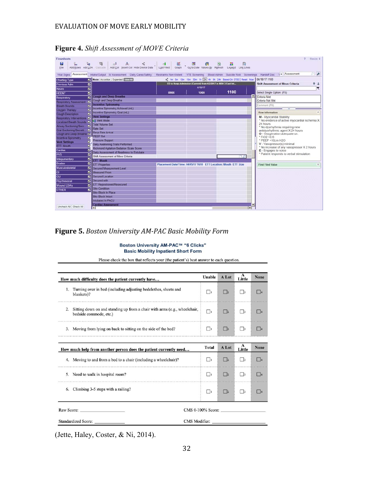| <b>Flowsheets</b>                                        |                                                                                                                                                                           |                                                                 |                                                                |                                                                               | Resize $\Phi$                                  |
|----------------------------------------------------------|---------------------------------------------------------------------------------------------------------------------------------------------------------------------------|-----------------------------------------------------------------|----------------------------------------------------------------|-------------------------------------------------------------------------------|------------------------------------------------|
| θ<br>開                                                   | 霜<br>$\mathbb{R}^2$<br>in.                                                                                                                                                | m                                                               |                                                                | ø<br>28<br>le                                                                 |                                                |
| <b>Eile</b>                                              | Add Rows Add LDA Cascade Add Col Insert Col Hide Device Data   Last Filed                                                                                                 |                                                                 |                                                                | Graph Go to Date Values By Refresh Legend Link Lines                          |                                                |
|                                                          | Vital Signs Assessment Intake/Output IV Assessment Daily Cares/Safety Restraints Non-Violent VTE Screening Blood Admin Suicide Risk Screenings Handoff Doc \ ▶ Assessment |                                                                 |                                                                |                                                                               | $\overline{p}$                                 |
| न्न                                                      | Mode: Accordion Expanded Nursen                                                                                                                                           |                                                                 |                                                                | a. 1m 5m 10m 15m 30m 1h 2h 4h 6h 24h Based On: 0700   Reset Now 04/18/17 1100 |                                                |
| <b>Charting Type</b>                                     |                                                                                                                                                                           |                                                                 | ED to Hosp-Admission (Current) from 4/2/2017 in NBH 3 East Int |                                                                               | <b>Shift Assessment of Move Criteria</b><br>ተተ |
| M<br>Previous Adm                                        |                                                                                                                                                                           |                                                                 | 4/18/17                                                        |                                                                               |                                                |
| ø<br>Neuro                                               |                                                                                                                                                                           |                                                                 |                                                                | 1100                                                                          | Select Single Option: (F5)                     |
| ◛<br><b>HEENT</b>                                        | <b>Cough and Deep Breathe</b>                                                                                                                                             | 0900                                                            | 1000                                                           |                                                                               | Criteria Met                                   |
| छ<br>Respiratory                                         | Cough and Deep Breathe                                                                                                                                                    |                                                                 |                                                                |                                                                               | Criteria Not Met                               |
| $\overline{\mathbf{z}}$<br><b>Respiratory Assessment</b> | <b>Incentive Spirometry</b>                                                                                                                                               |                                                                 |                                                                |                                                                               |                                                |
| ×<br><b>Breath Sounds</b>                                | Incentive Spirometry Achieved (mL)                                                                                                                                        |                                                                 |                                                                |                                                                               | Comment (F6)                                   |
| ×.<br>Oxygen Therapy                                     | Incentive Spirometry Goal (mL)                                                                                                                                            |                                                                 |                                                                |                                                                               | <b>Row Information</b>                         |
| s.<br><b>Cough Description</b>                           | <b>Vent Settings</b>                                                                                                                                                      |                                                                 |                                                                |                                                                               | M - Myocaridal Stability                       |
| Respiratory Interventions V                              | <b>Will Vent Mode</b>                                                                                                                                                     |                                                                 |                                                                |                                                                               | * No evidence of active myocardial ischemia X  |
| Localized Breath Sounds                                  | <b>Tidal Volume Set</b>                                                                                                                                                   |                                                                 |                                                                |                                                                               | 24 hours                                       |
| Airway Suctioning/Secr.<br>×                             | <b>Rate Set</b>                                                                                                                                                           |                                                                 |                                                                |                                                                               | * No dysrhythmia requiring new                 |
| Oral Suctioning/Secreti.<br>v.                           | <b>Resp Rate Actual</b>                                                                                                                                                   |                                                                 |                                                                |                                                                               | antidysrhythmic agent X 24 hours               |
| Cough and Deep Breathe                                   | PEEP Set                                                                                                                                                                  |                                                                 |                                                                |                                                                               | O - Oxygenation adequate on:<br>FIO2 < 0.6     |
| <b>Incentive Spirometry</b><br>⊽                         | Pressure Support                                                                                                                                                          |                                                                 |                                                                |                                                                               | * PEEP <10cm H2O                               |
| <b>Vent Settings</b>                                     | Daily Awakening Trials Performed                                                                                                                                          |                                                                 |                                                                |                                                                               | V - Vasopressor(s) minimal                     |
| <b>ETT Mouth</b>                                         | Richmond Agitation-Sedation Scale Score                                                                                                                                   |                                                                 |                                                                |                                                                               | * No increase of any vasopressor X 2 hours     |
| 귱<br>Cardiac                                             | Daily Assessment of Readiness to Extubate                                                                                                                                 |                                                                 |                                                                |                                                                               | E - Engages to voice                           |
| <b>PVS</b>                                               | Shift Assessment of Move Criteria                                                                                                                                         |                                                                 |                                                                | ΠO                                                                            | * Patient responds to verbal stimulation       |
| ×<br>Integumentary                                       | <b>ETT Mouth</b>                                                                                                                                                          |                                                                 |                                                                |                                                                               |                                                |
| ⊠<br><b>Braden</b>                                       | <b>ETT Properties</b>                                                                                                                                                     | Placement Date/Time: 04/05/17 1610 ETT Location: Mouth ETT Size |                                                                |                                                                               | $\approx$<br><b>First Filed Value</b>          |
| Musculoskeletal<br>⊠                                     | Secured Measurement Level                                                                                                                                                 |                                                                 |                                                                |                                                                               |                                                |
| ◛<br>GI                                                  | <b>Measured From</b>                                                                                                                                                      |                                                                 |                                                                |                                                                               |                                                |
| $\overline{au}$<br>⊠                                     | <b>Secured Location</b>                                                                                                                                                   |                                                                 |                                                                |                                                                               |                                                |
| ⊡<br>Psychosocial                                        | Secured with                                                                                                                                                              |                                                                 |                                                                |                                                                               |                                                |
| छ<br><b>Wound LDA's</b>                                  | <b>ETT Repositioned/Resecured</b>                                                                                                                                         |                                                                 |                                                                |                                                                               |                                                |
| छ<br><b>OTHER</b>                                        | <b>Site Condition</b>                                                                                                                                                     |                                                                 |                                                                |                                                                               |                                                |
|                                                          | <b>Bite Block In Place</b>                                                                                                                                                |                                                                 |                                                                |                                                                               |                                                |
|                                                          | <b>Bite Block Intact</b>                                                                                                                                                  |                                                                 |                                                                |                                                                               |                                                |
|                                                          | Intubated In PACU                                                                                                                                                         |                                                                 |                                                                |                                                                               |                                                |
| Uncheck All Check All                                    | <b>Cardiac Assessment</b><br>k.                                                                                                                                           |                                                                 |                                                                |                                                                               |                                                |

**Figure 4.** *Shift Assessment of MOVE Criteria* 

### **Figure 5.** *Boston University AM‐PAC Basic Mobility Form*

#### Boston University AM-PAC™ "6 Clicks" **Basic Mobility Inpatient Short Form**

Please check the box that reflects your (the patient's) best answer to each question.

|    | How much difficulty does the patient currently have                                                 | Unable            | A Lot                        | А<br>Little    | <b>None</b>    |
|----|-----------------------------------------------------------------------------------------------------|-------------------|------------------------------|----------------|----------------|
|    | 1. Turning over in bed (including adjusting bedclothes, sheets and<br>blankets)?                    | $\mathbf{1}$      | $\vert$ $\vert$ 2            | $\mathbb{R}^2$ | $\overline{A}$ |
| 2. | Sitting down on and standing up from a chair with arms (e.g., wheelchair,<br>bedside commode, etc.) | $\Box$            | $\frac{1}{2}$                |                | $\frac{1}{4}$  |
|    | 3. Moving from lying on back to sitting on the side of the bed?                                     | $\frac{1}{1}$     | $\vert$  2                   |                |                |
|    | How much help from another person does the patient currently need                                   | <b>Total</b>      | A Lot                        | A<br>Little    | <b>None</b>    |
|    | 4. Moving to and from a bed to a chair (including a wheelchair)?                                    | $\vert$ 1         | $\vert$ $\vert$ <sub>2</sub> |                |                |
| 5. | Need to walk in hospital room?                                                                      | $\Box$            | $\vert$ 2                    | $\frac{1}{3}$  | 4              |
|    | 6. Climbing 3-5 steps with a railing?                                                               | $\vert$ 1         | $\vert$ 2                    | 3              | A              |
|    | Raw Score:                                                                                          | CMS 0-100% Score: |                              |                |                |
|    |                                                                                                     |                   |                              |                |                |

(Jette, Haley, Coster, & Ni, 2014).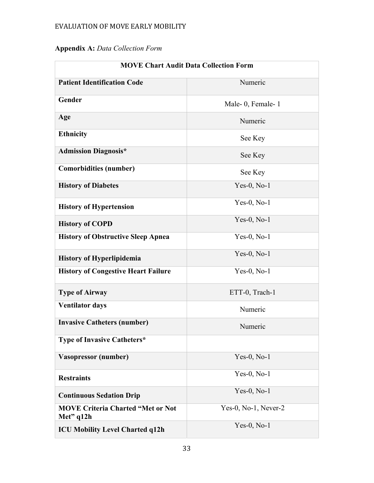# **Appendix A:** *Data Collection Form*

| <b>MOVE Chart Audit Data Collection Form</b>            |                      |  |  |
|---------------------------------------------------------|----------------------|--|--|
| <b>Patient Identification Code</b>                      | Numeric              |  |  |
| Gender                                                  | Male-0, Female-1     |  |  |
| Age                                                     | Numeric              |  |  |
| <b>Ethnicity</b>                                        | See Key              |  |  |
| <b>Admission Diagnosis*</b>                             | See Key              |  |  |
| <b>Comorbidities (number)</b>                           | See Key              |  |  |
| <b>History of Diabetes</b>                              | Yes-0, $No-1$        |  |  |
| <b>History of Hypertension</b>                          | $Yes-0, No-1$        |  |  |
| <b>History of COPD</b>                                  | $Yes-0, No-1$        |  |  |
| <b>History of Obstructive Sleep Apnea</b>               | $Yes-0, No-1$        |  |  |
| <b>History of Hyperlipidemia</b>                        | $Yes-0, No-1$        |  |  |
| <b>History of Congestive Heart Failure</b>              | $Yes-0, No-1$        |  |  |
| <b>Type of Airway</b>                                   | ETT-0, Trach-1       |  |  |
| <b>Ventilator days</b>                                  | Numeric              |  |  |
| <b>Invasive Catheters (number)</b>                      | Numeric              |  |  |
| <b>Type of Invasive Catheters*</b>                      |                      |  |  |
| Vasopressor (number)                                    | $Yes-0, No-1$        |  |  |
| <b>Restraints</b>                                       | $Yes-0, No-1$        |  |  |
| <b>Continuous Sedation Drip</b>                         | $Yes-0, No-1$        |  |  |
| <b>MOVE Criteria Charted "Met or Not</b><br>Met" $q12h$ | Yes-0, No-1, Never-2 |  |  |
| <b>ICU Mobility Level Charted q12h</b>                  | Yes-0, $No-1$        |  |  |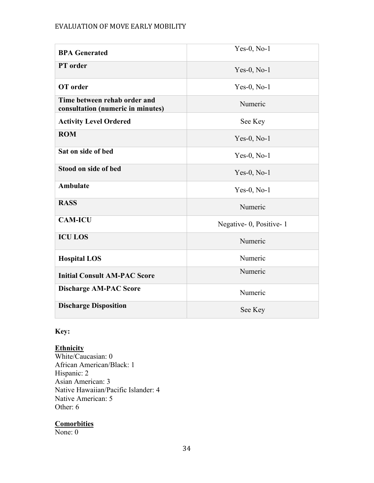| <b>BPA Generated</b>                                              | $Yes-0, No-1$          |
|-------------------------------------------------------------------|------------------------|
| PT order                                                          | $Yes-0, No-1$          |
| OT order                                                          | $Yes-0, No-1$          |
| Time between rehab order and<br>consultation (numeric in minutes) | Numeric                |
| <b>Activity Level Ordered</b>                                     | See Key                |
| <b>ROM</b>                                                        | $Yes-0, No-1$          |
| Sat on side of bed                                                | $Yes-0, No-1$          |
| Stood on side of bed                                              | $Yes-0, No-1$          |
| Ambulate                                                          | $Yes-0, No-1$          |
| <b>RASS</b>                                                       | Numeric                |
| <b>CAM-ICU</b>                                                    | Negative-0, Positive-1 |
| <b>ICU LOS</b>                                                    | Numeric                |
| <b>Hospital LOS</b>                                               | Numeric                |
| <b>Initial Consult AM-PAC Score</b>                               | Numeric                |
| <b>Discharge AM-PAC Score</b>                                     | Numeric                |
| <b>Discharge Disposition</b>                                      | See Key                |

### **Key:**

### **Ethnicity**

White/Caucasian: 0 African American/Black: 1 Hispanic: 2 Asian American: 3 Native Hawaiian/Pacific Islander: 4 Native American: 5 Other: 6

#### **Comorbities**

None: 0